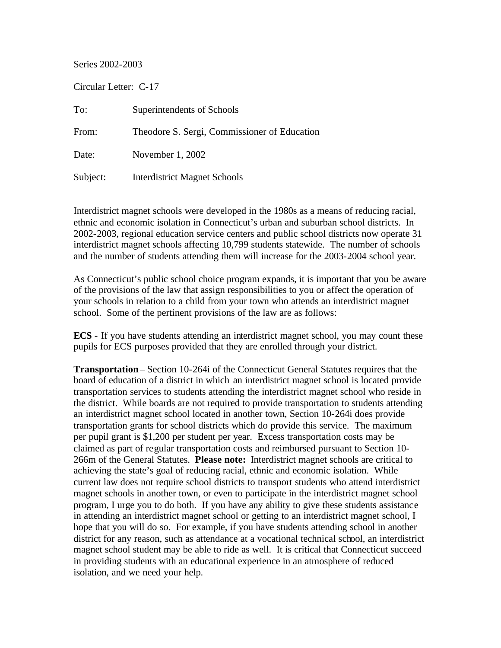## Series 2002-2003

Circular Letter: C-17

| To:      | Superintendents of Schools                   |
|----------|----------------------------------------------|
| From:    | Theodore S. Sergi, Commissioner of Education |
| Date:    | November $1,2002$                            |
| Subject: | <b>Interdistrict Magnet Schools</b>          |

Interdistrict magnet schools were developed in the 1980s as a means of reducing racial, ethnic and economic isolation in Connecticut's urban and suburban school districts. In 2002-2003, regional education service centers and public school districts now operate 31 interdistrict magnet schools affecting 10,799 students statewide. The number of schools and the number of students attending them will increase for the 2003-2004 school year.

As Connecticut's public school choice program expands, it is important that you be aware of the provisions of the law that assign responsibilities to you or affect the operation of your schools in relation to a child from your town who attends an interdistrict magnet school. Some of the pertinent provisions of the law are as follows:

**ECS** - If you have students attending an interdistrict magnet school, you may count these pupils for ECS purposes provided that they are enrolled through your district.

**Transportation** – Section 10-264i of the Connecticut General Statutes requires that the board of education of a district in which an interdistrict magnet school is located provide transportation services to students attending the interdistrict magnet school who reside in the district. While boards are not required to provide transportation to students attending an interdistrict magnet school located in another town, Section 10-264i does provide transportation grants for school districts which do provide this service. The maximum per pupil grant is \$1,200 per student per year. Excess transportation costs may be claimed as part of regular transportation costs and reimbursed pursuant to Section 10- 266m of the General Statutes. **Please note:** Interdistrict magnet schools are critical to achieving the state's goal of reducing racial, ethnic and economic isolation. While current law does not require school districts to transport students who attend interdistrict magnet schools in another town, or even to participate in the interdistrict magnet school program, I urge you to do both. If you have any ability to give these students assistance in attending an interdistrict magnet school or getting to an interdistrict magnet school, I hope that you will do so. For example, if you have students attending school in another district for any reason, such as attendance at a vocational technical school, an interdistrict magnet school student may be able to ride as well. It is critical that Connecticut succeed in providing students with an educational experience in an atmosphere of reduced isolation, and we need your help.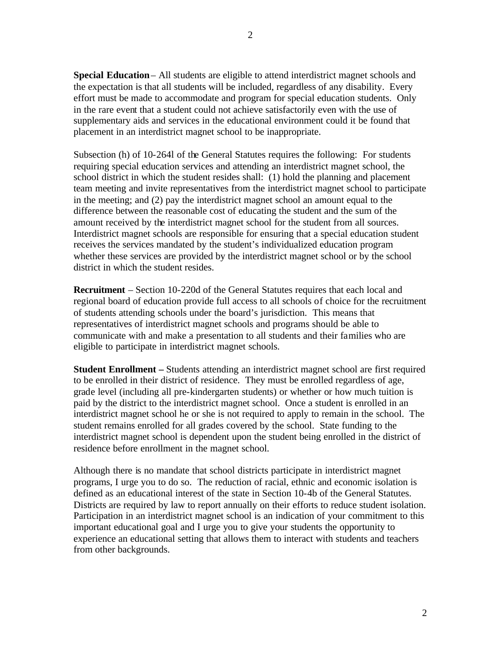**Special Education** – All students are eligible to attend interdistrict magnet schools and the expectation is that all students will be included, regardless of any disability. Every effort must be made to accommodate and program for special education students. Only in the rare event that a student could not achieve satisfactorily even with the use of supplementary aids and services in the educational environment could it be found that

placement in an interdistrict magnet school to be inappropriate.

Subsection (h) of 10-264l of the General Statutes requires the following: For students requiring special education services and attending an interdistrict magnet school, the school district in which the student resides shall: (1) hold the planning and placement team meeting and invite representatives from the interdistrict magnet school to participate in the meeting; and (2) pay the interdistrict magnet school an amount equal to the difference between the reasonable cost of educating the student and the sum of the amount received by the interdistrict magnet school for the student from all sources. Interdistrict magnet schools are responsible for ensuring that a special education student receives the services mandated by the student's individualized education program whether these services are provided by the interdistrict magnet school or by the school district in which the student resides.

**Recruitment** – Section 10-220d of the General Statutes requires that each local and regional board of education provide full access to all schools of choice for the recruitment of students attending schools under the board's jurisdiction. This means that representatives of interdistrict magnet schools and programs should be able to communicate with and make a presentation to all students and their families who are eligible to participate in interdistrict magnet schools.

**Student Enrollment –** Students attending an interdistrict magnet school are first required to be enrolled in their district of residence. They must be enrolled regardless of age, grade level (including all pre-kindergarten students) or whether or how much tuition is paid by the district to the interdistrict magnet school. Once a student is enrolled in an interdistrict magnet school he or she is not required to apply to remain in the school. The student remains enrolled for all grades covered by the school. State funding to the interdistrict magnet school is dependent upon the student being enrolled in the district of residence before enrollment in the magnet school.

Although there is no mandate that school districts participate in interdistrict magnet programs, I urge you to do so. The reduction of racial, ethnic and economic isolation is defined as an educational interest of the state in Section 10-4b of the General Statutes. Districts are required by law to report annually on their efforts to reduce student isolation. Participation in an interdistrict magnet school is an indication of your commitment to this important educational goal and I urge you to give your students the opportunity to experience an educational setting that allows them to interact with students and teachers from other backgrounds.